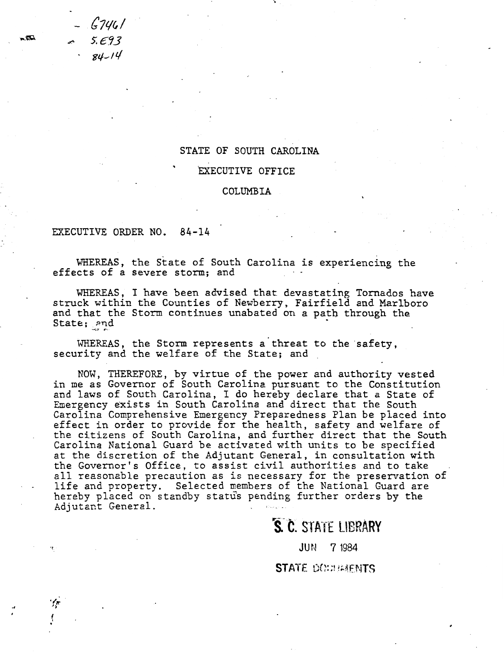G7901 /- 5. E.'i3  $84 - 14$ 

## STATE OF SOUTH CAROLINA

..

## ExECUTIVE OFFICE

## COLUMBIA

EXECUTIVE ORDER NO. 84-14

WHEREAS, the State of South Carolina is experiencing the effects of a severe storm; and

WHEREAS, I have been advised that devastating Tornados have struck within the Counties of Newberry, Fairfield and Marlboro and that the Storm continues unabated on a path through the State; and

WHEREAS, the Storm represents a threat to the safety. security and the welfare of the State; and

NOW, THEREFORE, by virtue of the power and authority vested in me as Governor of South Carolina pursuant to the Constitution and laws of South Carolina, I do hereby declare that a State of Emergency exists in South Carolina and direct that the South Carolina Comprehensive Emergency Preparedness Plan be placed into effect in order to provide for the health, safety and welfare of the citizens of South Carolina, and further direct that the South Carolina National Guard be activated with units to be specified at the discretion of the Adjutant General, in consultation with the Governor's Office, to assist civil authorities and to take all reasonable precaution as is necessary for the preservation of all reasonable precaderon as is necessary for the preservation<br>life and property. Selected members of the National Guard are hereby placed on standby status pending further orders by the Adjutant General.

S. C. STATE LIBRARY

JUN 7 1984

**STATE DOWNWHATS** 

.... :tQ.

 $\frac{1}{2}$ 

I  $\int$